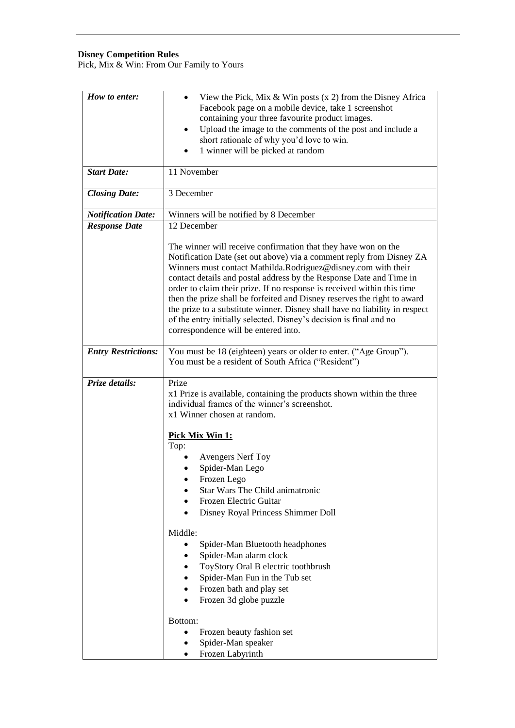### **Disney Competition Rules**

Pick, Mix & Win: From Our Family to Yours

| How to enter:              | View the Pick, Mix & Win posts $(x 2)$ from the Disney Africa<br>$\bullet$<br>Facebook page on a mobile device, take 1 screenshot<br>containing your three favourite product images.<br>Upload the image to the comments of the post and include a<br>$\bullet$<br>short rationale of why you'd love to win.<br>1 winner will be picked at random                                                                                                                                                                                                                                                                                  |
|----------------------------|------------------------------------------------------------------------------------------------------------------------------------------------------------------------------------------------------------------------------------------------------------------------------------------------------------------------------------------------------------------------------------------------------------------------------------------------------------------------------------------------------------------------------------------------------------------------------------------------------------------------------------|
| <b>Start Date:</b>         | 11 November                                                                                                                                                                                                                                                                                                                                                                                                                                                                                                                                                                                                                        |
|                            |                                                                                                                                                                                                                                                                                                                                                                                                                                                                                                                                                                                                                                    |
| <b>Closing Date:</b>       | 3 December                                                                                                                                                                                                                                                                                                                                                                                                                                                                                                                                                                                                                         |
| <b>Notification Date:</b>  | Winners will be notified by 8 December                                                                                                                                                                                                                                                                                                                                                                                                                                                                                                                                                                                             |
| <b>Response Date</b>       | 12 December                                                                                                                                                                                                                                                                                                                                                                                                                                                                                                                                                                                                                        |
|                            | The winner will receive confirmation that they have won on the<br>Notification Date (set out above) via a comment reply from Disney ZA<br>Winners must contact Mathilda.Rodriguez@disney.com with their<br>contact details and postal address by the Response Date and Time in<br>order to claim their prize. If no response is received within this time<br>then the prize shall be forfeited and Disney reserves the right to award<br>the prize to a substitute winner. Disney shall have no liability in respect<br>of the entry initially selected. Disney's decision is final and no<br>correspondence will be entered into. |
| <b>Entry Restrictions:</b> | You must be 18 (eighteen) years or older to enter. ("Age Group").<br>You must be a resident of South Africa ("Resident")                                                                                                                                                                                                                                                                                                                                                                                                                                                                                                           |
| Prize details:             | Prize<br>x1 Prize is available, containing the products shown within the three<br>individual frames of the winner's screenshot.<br>x1 Winner chosen at random.                                                                                                                                                                                                                                                                                                                                                                                                                                                                     |
|                            | Pick Mix Win 1:<br>Top:                                                                                                                                                                                                                                                                                                                                                                                                                                                                                                                                                                                                            |
|                            | <b>Avengers Nerf Toy</b>                                                                                                                                                                                                                                                                                                                                                                                                                                                                                                                                                                                                           |
|                            | Spider-Man Lego                                                                                                                                                                                                                                                                                                                                                                                                                                                                                                                                                                                                                    |
|                            | Frozen Lego                                                                                                                                                                                                                                                                                                                                                                                                                                                                                                                                                                                                                        |
|                            | Star Wars The Child animatronic                                                                                                                                                                                                                                                                                                                                                                                                                                                                                                                                                                                                    |
|                            | Frozen Electric Guitar<br>$\bullet$                                                                                                                                                                                                                                                                                                                                                                                                                                                                                                                                                                                                |
|                            | Disney Royal Princess Shimmer Doll<br>$\bullet$                                                                                                                                                                                                                                                                                                                                                                                                                                                                                                                                                                                    |
|                            | Middle:                                                                                                                                                                                                                                                                                                                                                                                                                                                                                                                                                                                                                            |
|                            | Spider-Man Bluetooth headphones                                                                                                                                                                                                                                                                                                                                                                                                                                                                                                                                                                                                    |
|                            | Spider-Man alarm clock<br>$\bullet$                                                                                                                                                                                                                                                                                                                                                                                                                                                                                                                                                                                                |
|                            | ToyStory Oral B electric toothbrush<br>$\bullet$                                                                                                                                                                                                                                                                                                                                                                                                                                                                                                                                                                                   |
|                            | Spider-Man Fun in the Tub set<br>$\bullet$                                                                                                                                                                                                                                                                                                                                                                                                                                                                                                                                                                                         |
|                            | Frozen bath and play set<br>$\bullet$                                                                                                                                                                                                                                                                                                                                                                                                                                                                                                                                                                                              |
|                            | Frozen 3d globe puzzle<br>$\bullet$                                                                                                                                                                                                                                                                                                                                                                                                                                                                                                                                                                                                |
|                            | Bottom:                                                                                                                                                                                                                                                                                                                                                                                                                                                                                                                                                                                                                            |
|                            | Frozen beauty fashion set<br>$\bullet$                                                                                                                                                                                                                                                                                                                                                                                                                                                                                                                                                                                             |
|                            | Spider-Man speaker<br>٠                                                                                                                                                                                                                                                                                                                                                                                                                                                                                                                                                                                                            |
|                            | Frozen Labyrinth<br>$\bullet$                                                                                                                                                                                                                                                                                                                                                                                                                                                                                                                                                                                                      |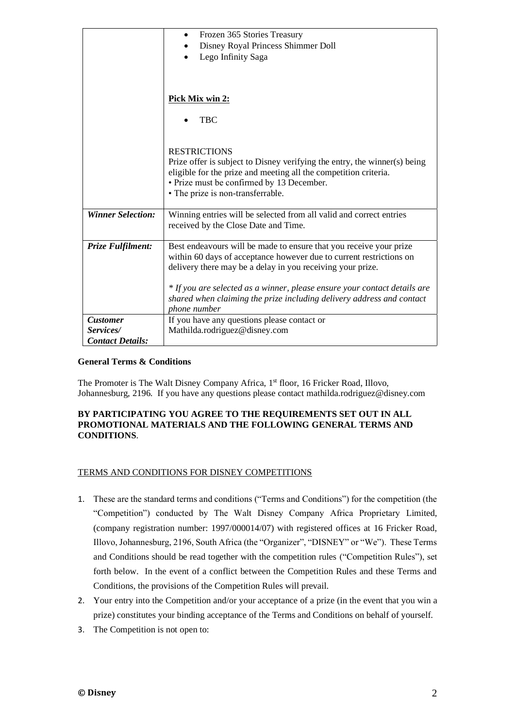|                          | Frozen 365 Stories Treasury<br>$\bullet$                                  |
|--------------------------|---------------------------------------------------------------------------|
|                          | Disney Royal Princess Shimmer Doll                                        |
|                          | Lego Infinity Saga                                                        |
|                          |                                                                           |
|                          |                                                                           |
|                          |                                                                           |
|                          | Pick Mix win 2:                                                           |
|                          |                                                                           |
|                          | <b>TBC</b>                                                                |
|                          |                                                                           |
|                          |                                                                           |
|                          | <b>RESTRICTIONS</b>                                                       |
|                          | Prize offer is subject to Disney verifying the entry, the winner(s) being |
|                          | eligible for the prize and meeting all the competition criteria.          |
|                          | • Prize must be confirmed by 13 December.                                 |
|                          | • The prize is non-transferrable.                                         |
|                          |                                                                           |
| <b>Winner Selection:</b> | Winning entries will be selected from all valid and correct entries       |
|                          | received by the Close Date and Time.                                      |
|                          |                                                                           |
| Prize Fulfilment:        | Best endeavours will be made to ensure that you receive your prize        |
|                          | within 60 days of acceptance however due to current restrictions on       |
|                          | delivery there may be a delay in you receiving your prize.                |
|                          |                                                                           |
|                          | * If you are selected as a winner, please ensure your contact details are |
|                          | shared when claiming the prize including delivery address and contact     |
|                          | phone number                                                              |
| <b>Customer</b>          | If you have any questions please contact or                               |
| Services/                | Mathilda.rodriguez@disney.com                                             |
| <b>Contact Details:</b>  |                                                                           |

# **General Terms & Conditions**

The Promoter is The Walt Disney Company Africa, 1<sup>st</sup> floor, 16 Fricker Road, Illovo, Johannesburg, 2196. If you have any questions please contact mathilda.rodriguez@disney.com

## **BY PARTICIPATING YOU AGREE TO THE REQUIREMENTS SET OUT IN ALL PROMOTIONAL MATERIALS AND THE FOLLOWING GENERAL TERMS AND CONDITIONS**.

### TERMS AND CONDITIONS FOR DISNEY COMPETITIONS

- 1. These are the standard terms and conditions ("Terms and Conditions") for the competition (the "Competition") conducted by The Walt Disney Company Africa Proprietary Limited, (company registration number: 1997/000014/07) with registered offices at 16 Fricker Road, Illovo, Johannesburg, 2196, South Africa (the "Organizer", "DISNEY" or "We"). These Terms and Conditions should be read together with the competition rules ("Competition Rules"), set forth below. In the event of a conflict between the Competition Rules and these Terms and Conditions, the provisions of the Competition Rules will prevail.
- 2. Your entry into the Competition and/or your acceptance of a prize (in the event that you win a prize) constitutes your binding acceptance of the Terms and Conditions on behalf of yourself.
- 3. The Competition is not open to: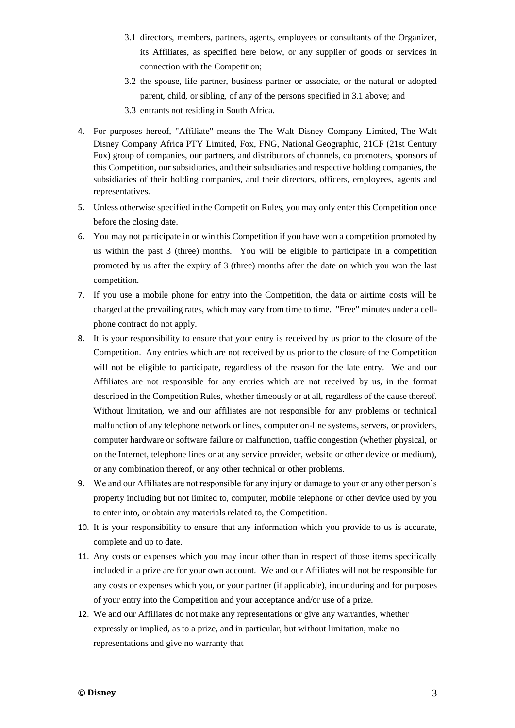- 3.1 directors, members, partners, agents, employees or consultants of the Organizer, its Affiliates, as specified here below, or any supplier of goods or services in connection with the Competition;
- 3.2 the spouse, life partner, business partner or associate, or the natural or adopted parent, child, or sibling, of any of the persons specified in 3.1 above; and
- 3.3 entrants not residing in South Africa.
- 4. For purposes hereof, "Affiliate" means the The Walt Disney Company Limited, The Walt Disney Company Africa PTY Limited, Fox, FNG, National Geographic, 21CF (21st Century Fox) group of companies, our partners, and distributors of channels, co promoters, sponsors of this Competition, our subsidiaries, and their subsidiaries and respective holding companies, the subsidiaries of their holding companies, and their directors, officers, employees, agents and representatives.
- 5. Unless otherwise specified in the Competition Rules, you may only enter this Competition once before the closing date.
- 6. You may not participate in or win this Competition if you have won a competition promoted by us within the past 3 (three) months. You will be eligible to participate in a competition promoted by us after the expiry of 3 (three) months after the date on which you won the last competition.
- 7. If you use a mobile phone for entry into the Competition, the data or airtime costs will be charged at the prevailing rates, which may vary from time to time. "Free" minutes under a cellphone contract do not apply.
- 8. It is your responsibility to ensure that your entry is received by us prior to the closure of the Competition. Any entries which are not received by us prior to the closure of the Competition will not be eligible to participate, regardless of the reason for the late entry. We and our Affiliates are not responsible for any entries which are not received by us, in the format described in the Competition Rules, whether timeously or at all, regardless of the cause thereof. Without limitation, we and our affiliates are not responsible for any problems or technical malfunction of any telephone network or lines, computer on-line systems, servers, or providers, computer hardware or software failure or malfunction, traffic congestion (whether physical, or on the Internet, telephone lines or at any service provider, website or other device or medium), or any combination thereof, or any other technical or other problems.
- 9. We and our Affiliates are not responsible for any injury or damage to your or any other person's property including but not limited to, computer, mobile telephone or other device used by you to enter into, or obtain any materials related to, the Competition.
- 10. It is your responsibility to ensure that any information which you provide to us is accurate, complete and up to date.
- 11. Any costs or expenses which you may incur other than in respect of those items specifically included in a prize are for your own account. We and our Affiliates will not be responsible for any costs or expenses which you, or your partner (if applicable), incur during and for purposes of your entry into the Competition and your acceptance and/or use of a prize.
- 12. We and our Affiliates do not make any representations or give any warranties, whether expressly or implied, as to a prize, and in particular, but without limitation, make no representations and give no warranty that –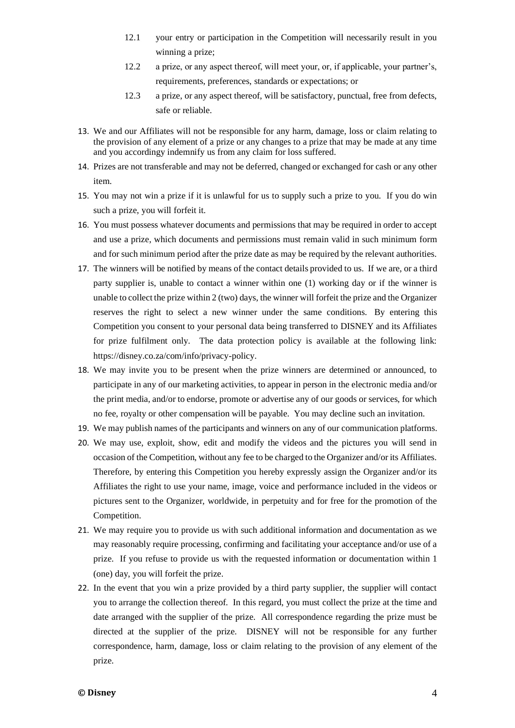- 12.1 your entry or participation in the Competition will necessarily result in you winning a prize;
- 12.2 a prize, or any aspect thereof, will meet your, or, if applicable, your partner's, requirements, preferences, standards or expectations; or
- 12.3 a prize, or any aspect thereof, will be satisfactory, punctual, free from defects, safe or reliable.
- 13. We and our Affiliates will not be responsible for any harm, damage, loss or claim relating to the provision of any element of a prize or any changes to a prize that may be made at any time and you accordingy indemnify us from any claim for loss suffered.
- 14. Prizes are not transferable and may not be deferred, changed or exchanged for cash or any other item.
- 15. You may not win a prize if it is unlawful for us to supply such a prize to you. If you do win such a prize, you will forfeit it.
- 16. You must possess whatever documents and permissions that may be required in order to accept and use a prize, which documents and permissions must remain valid in such minimum form and for such minimum period after the prize date as may be required by the relevant authorities.
- 17. The winners will be notified by means of the contact details provided to us. If we are, or a third party supplier is, unable to contact a winner within one (1) working day or if the winner is unable to collect the prize within 2 (two) days, the winner will forfeit the prize and the Organizer reserves the right to select a new winner under the same conditions. By entering this Competition you consent to your personal data being transferred to DISNEY and its Affiliates for prize fulfilment only. The data protection policy is available at the following link: [https://disney.co.za/com/info/privacy-policy.](https://disney.co.za/com/info/privacy-policy)
- 18. We may invite you to be present when the prize winners are determined or announced, to participate in any of our marketing activities, to appear in person in the electronic media and/or the print media, and/or to endorse, promote or advertise any of our goods or services, for which no fee, royalty or other compensation will be payable. You may decline such an invitation.
- 19. We may publish names of the participants and winners on any of our communication platforms.
- 20. We may use, exploit, show, edit and modify the videos and the pictures you will send in occasion of the Competition, without any fee to be charged to the Organizer and/or its Affiliates. Therefore, by entering this Competition you hereby expressly assign the Organizer and/or its Affiliates the right to use your name, image, voice and performance included in the videos or pictures sent to the Organizer, worldwide, in perpetuity and for free for the promotion of the Competition.
- 21. We may require you to provide us with such additional information and documentation as we may reasonably require processing, confirming and facilitating your acceptance and/or use of a prize. If you refuse to provide us with the requested information or documentation within 1 (one) day, you will forfeit the prize.
- 22. In the event that you win a prize provided by a third party supplier, the supplier will contact you to arrange the collection thereof. In this regard, you must collect the prize at the time and date arranged with the supplier of the prize. All correspondence regarding the prize must be directed at the supplier of the prize. DISNEY will not be responsible for any further correspondence, harm, damage, loss or claim relating to the provision of any element of the prize.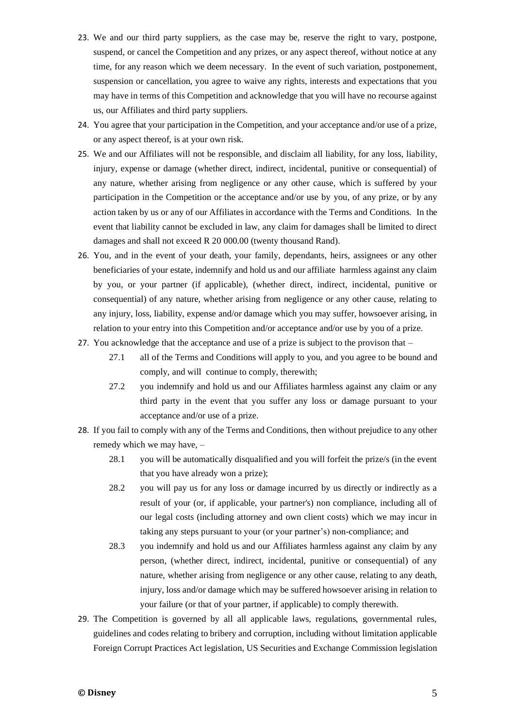- 23. We and our third party suppliers, as the case may be, reserve the right to vary, postpone, suspend, or cancel the Competition and any prizes, or any aspect thereof, without notice at any time, for any reason which we deem necessary. In the event of such variation, postponement, suspension or cancellation, you agree to waive any rights, interests and expectations that you may have in terms of this Competition and acknowledge that you will have no recourse against us, our Affiliates and third party suppliers.
- 24. You agree that your participation in the Competition, and your acceptance and/or use of a prize, or any aspect thereof, is at your own risk.
- 25. We and our Affiliates will not be responsible, and disclaim all liability, for any loss, liability, injury, expense or damage (whether direct, indirect, incidental, punitive or consequential) of any nature, whether arising from negligence or any other cause, which is suffered by your participation in the Competition or the acceptance and/or use by you, of any prize, or by any action taken by us or any of our Affiliates in accordance with the Terms and Conditions. In the event that liability cannot be excluded in law, any claim for damages shall be limited to direct damages and shall not exceed R 20 000.00 (twenty thousand Rand).
- 26. You, and in the event of your death, your family, dependants, heirs, assignees or any other beneficiaries of your estate, indemnify and hold us and our affiliate harmless against any claim by you, or your partner (if applicable), (whether direct, indirect, incidental, punitive or consequential) of any nature, whether arising from negligence or any other cause, relating to any injury, loss, liability, expense and/or damage which you may suffer, howsoever arising, in relation to your entry into this Competition and/or acceptance and/or use by you of a prize.
- 27. You acknowledge that the acceptance and use of a prize is subject to the provison that
	- 27.1 all of the Terms and Conditions will apply to you, and you agree to be bound and comply, and will continue to comply, therewith;
	- 27.2 you indemnify and hold us and our Affiliates harmless against any claim or any third party in the event that you suffer any loss or damage pursuant to your acceptance and/or use of a prize.
- 28. If you fail to comply with any of the Terms and Conditions, then without prejudice to any other remedy which we may have, –
	- 28.1 you will be automatically disqualified and you will forfeit the prize/s (in the event that you have already won a prize);
	- 28.2 you will pay us for any loss or damage incurred by us directly or indirectly as a result of your (or, if applicable, your partner's) non compliance, including all of our legal costs (including attorney and own client costs) which we may incur in taking any steps pursuant to your (or your partner's) non-compliance; and
	- 28.3 you indemnify and hold us and our Affiliates harmless against any claim by any person, (whether direct, indirect, incidental, punitive or consequential) of any nature, whether arising from negligence or any other cause, relating to any death, injury, loss and/or damage which may be suffered howsoever arising in relation to your failure (or that of your partner, if applicable) to comply therewith.
- 29. The Competition is governed by all all applicable laws, regulations, governmental rules, guidelines and codes relating to bribery and corruption, including without limitation applicable Foreign Corrupt Practices Act legislation, US Securities and Exchange Commission legislation